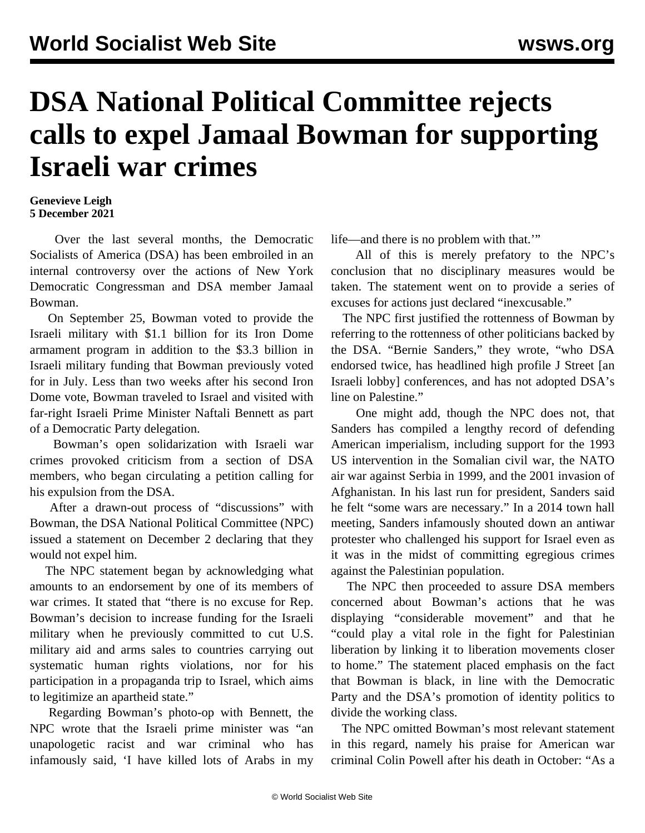## **DSA National Political Committee rejects calls to expel Jamaal Bowman for supporting Israeli war crimes**

## **Genevieve Leigh 5 December 2021**

 Over the last several months, the Democratic Socialists of America (DSA) has been embroiled in an internal controversy over the actions of New York Democratic Congressman and DSA member Jamaal Bowman.

 On September 25, Bowman voted to provide the Israeli military with \$1.1 billion for its Iron Dome armament program in addition to the \$3.3 billion in Israeli military funding that Bowman previously voted for in July. Less than two weeks after his second Iron Dome vote, Bowman traveled to Israel and visited with far-right Israeli Prime Minister Naftali Bennett as part of a Democratic Party delegation.

 Bowman's open solidarization with Israeli war crimes provoked criticism from a section of DSA members, who began circulating a petition calling for his expulsion from the DSA.

 After a drawn-out process of "discussions" with Bowman, the DSA National Political Committee (NPC) issued a statement on December 2 declaring that they would not expel him.

 The NPC statement began by acknowledging what amounts to an endorsement by one of its members of war crimes. It stated that "there is no excuse for Rep. Bowman's decision to increase funding for the Israeli military when he previously committed to cut U.S. military aid and arms sales to countries carrying out systematic human rights violations, nor for his participation in a propaganda trip to Israel, which aims to legitimize an apartheid state."

 Regarding Bowman's photo-op with Bennett, the NPC wrote that the Israeli prime minister was "an unapologetic racist and war criminal who has infamously said, 'I have killed lots of Arabs in my life—and there is no problem with that.'"

 All of this is merely prefatory to the NPC's conclusion that no disciplinary measures would be taken. The statement went on to provide a series of excuses for actions just declared "inexcusable."

 The NPC first justified the rottenness of Bowman by referring to the rottenness of other politicians backed by the DSA. "Bernie Sanders," they wrote, "who DSA endorsed twice, has headlined high profile J Street [an Israeli lobby] conferences, and has not adopted DSA's line on Palestine."

 One might add, though the NPC does not, that Sanders has compiled a lengthy record of defending American imperialism, including support for the 1993 US intervention in the Somalian civil war, the NATO air war against Serbia in 1999, and the 2001 invasion of Afghanistan. In his last run for president, Sanders said he felt "some wars are necessary." In a 2014 town hall meeting, Sanders [infamously](https://www.youtube.com/watch?v=Vf2cCdgwgoM&feature=youtu.be&t=3m25s) shouted down an antiwar protester who challenged his support for Israel even as it was in the midst of committing egregious crimes against the Palestinian population.

 The NPC then proceeded to assure DSA members concerned about Bowman's actions that he was displaying "considerable movement" and that he "could play a vital role in the fight for Palestinian liberation by linking it to liberation movements closer to home." The statement placed emphasis on the fact that Bowman is black, in line with the Democratic Party and the DSA's promotion of identity politics to divide the working class.

 The NPC omitted Bowman's most relevant statement in this regard, namely his praise for American war criminal Colin Powell after his death in October: "As a